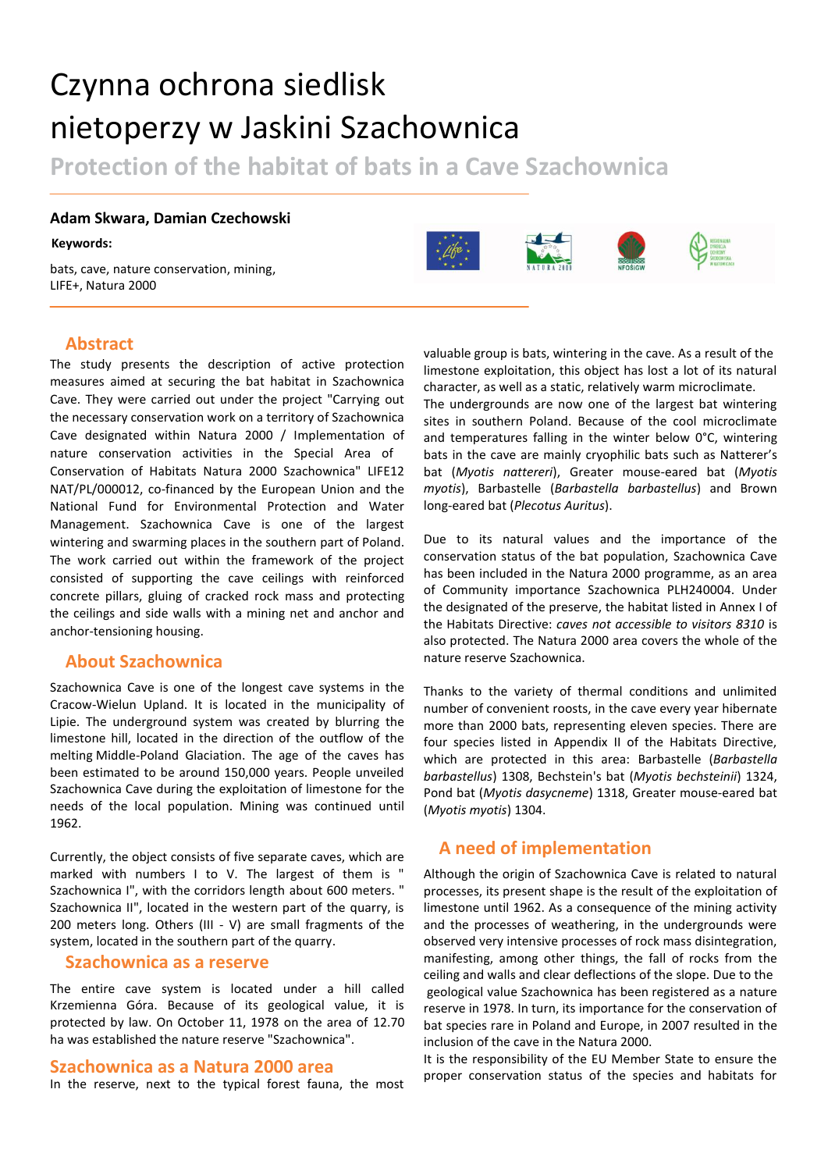# Czynna ochrona siedlisk nietoperzy w Jaskini Szachownica

**Protection of the habitat of bats in a Cave Szachownica**

#### **Adam Skwara, Damian Czechowski**

#### **Keywords:**

bats, cave, nature conservation, mining, LIFE+, Natura 2000



#### **Abstract**

The study presents the description of active protection measures aimed at securing the bat habitat in Szachownica Cave. They were carried out under the project "Carrying out the necessary conservation work on a territory of Szachownica Cave designated within Natura 2000 / Implementation of nature conservation activities in the Special Area of Conservation of Habitats Natura 2000 Szachownica" LIFE12 NAT/PL/000012, co-financed by the European Union and the National Fund for Environmental Protection and Water Management. Szachownica Cave is one of the largest wintering and swarming places in the southern part of Poland. The work carried out within the framework of the project consisted of supporting the cave ceilings with reinforced concrete pillars, gluing of cracked rock mass and protecting the ceilings and side walls with a mining net and anchor and anchor-tensioning housing.

# **About Szachownica**

Szachownica Cave is one of the longest cave systems in the Cracow-Wielun Upland. It is located in the municipality of Lipie. The underground system was created by blurring the limestone hill, located in the direction of the outflow of the melting Middle-Poland Glaciation. The age of the caves has been estimated to be around 150,000 years. People unveiled Szachownica Cave during the exploitation of limestone for the needs of the local population. Mining was continued until 1962.

Currently, the object consists of five separate caves, which are marked with numbers I to V. The largest of them is " Szachownica I", with the corridors length about 600 meters. " Szachownica II", located in the western part of the quarry, is 200 meters long. Others (III - V) are small fragments of the system, located in the southern part of the quarry.

#### **Szachownica as a reserve**

The entire cave system is located under a hill called Krzemienna Góra. Because of its geological value, it is protected by law. On October 11, 1978 on the area of 12.70 ha was established the nature reserve "Szachownica".

#### **Szachownica as a Natura 2000 area**

In the reserve, next to the typical forest fauna, the most

valuable group is bats, wintering in the cave. As a result of the limestone exploitation, this object has lost a lot of its natural character, as well as a static, relatively warm microclimate. The undergrounds are now one of the largest bat wintering

sites in southern Poland. Because of the cool microclimate and temperatures falling in the winter below 0°C, wintering bats in the cave are mainly cryophilic bats such as Natterer's bat (*Myotis nattereri*), Greater mouse-eared bat (*Myotis myotis*), Barbastelle (*Barbastella barbastellus*) and Brown long-eared bat (*Plecotus Auritus*).

Due to its natural values and the importance of the conservation status of the bat population, Szachownica Cave has been included in the Natura 2000 programme, as an area of Community importance Szachownica PLH240004. Under the designated of the preserve, the habitat listed in Annex I of the Habitats Directive: *caves not accessible to visitors 8310* is also protected. The Natura 2000 area covers the whole of the nature reserve Szachownica.

Thanks to the variety of thermal conditions and unlimited number of convenient roosts, in the cave every year hibernate more than 2000 bats, representing eleven species. There are four species listed in Appendix II of the Habitats Directive, which are protected in this area: Barbastelle (*Barbastella barbastellus*) 1308, Bechstein's bat (*Myotis bechsteinii*) 1324, Pond bat (*Myotis dasycneme*) 1318, Greater mouse-eared bat (*Myotis myotis*) 1304.

# **A need of implementation**

Although the origin of Szachownica Cave is related to natural processes, its present shape is the result of the exploitation of limestone until 1962. As a consequence of the mining activity and the processes of weathering, in the undergrounds were observed very intensive processes of rock mass disintegration, manifesting, among other things, the fall of rocks from the ceiling and walls and clear deflections of the slope. Due to the geological value Szachownica has been registered as a nature reserve in 1978. In turn, its importance for the conservation of bat species rare in Poland and Europe, in 2007 resulted in the inclusion of the cave in the Natura 2000.

It is the responsibility of the EU Member State to ensure the proper conservation status of the species and habitats for